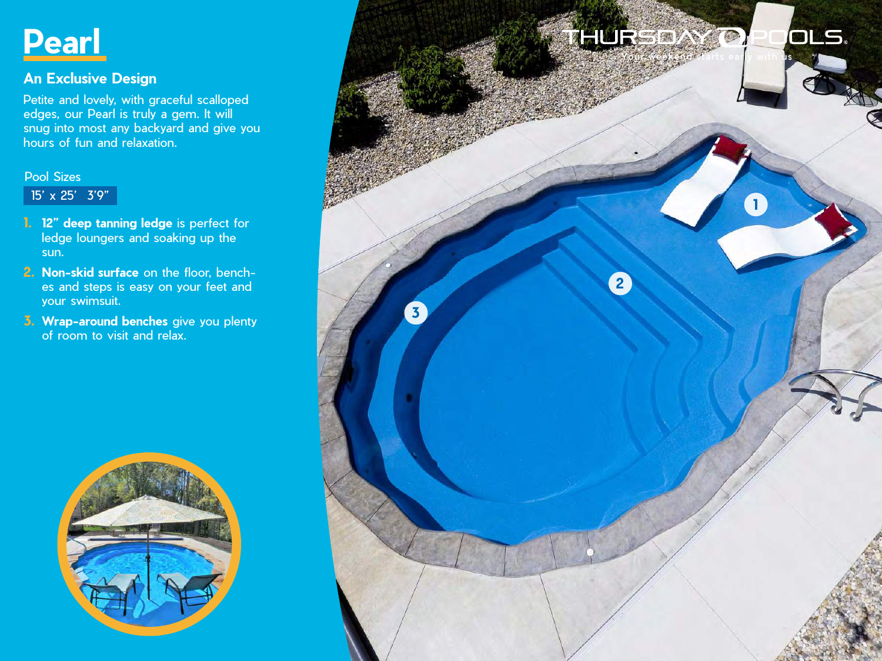

## **An Exclusive Design**

Petite and lovely, with graceful scalloped edges, our Pearl is truly a gem. It will snug into most any backyard and give you hours of fun and relaxation.

## Pool Sizes

15' x 25' 3'9"

- **1. 12" deep tanning ledge** is perfect for ledge loungers and soaking up the sun.
- **2. Non-skid surface** on the floor, benches and steps is easy on your feet and your swimsuit.
- **3. Wrap-around benches** give you plenty of room to visit and relax.